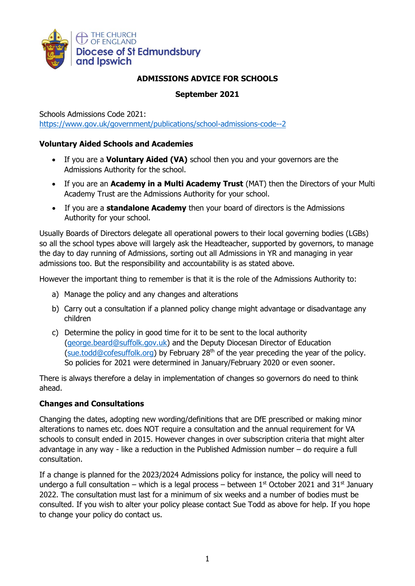

# **ADMISSIONS ADVICE FOR SCHOOLS**

## **September 2021**

Schools Admissions Code 2021:

<https://www.gov.uk/government/publications/school-admissions-code--2>

#### **Voluntary Aided Schools and Academies**

- If you are a **Voluntary Aided (VA)** school then you and your governors are the Admissions Authority for the school.
- If you are an **Academy in a Multi Academy Trust** (MAT) then the Directors of your Multi Academy Trust are the Admissions Authority for your school.
- If you are a **standalone Academy** then your board of directors is the Admissions Authority for your school.

Usually Boards of Directors delegate all operational powers to their local governing bodies (LGBs) so all the school types above will largely ask the Headteacher, supported by governors, to manage the day to day running of Admissions, sorting out all Admissions in YR and managing in year admissions too. But the responsibility and accountability is as stated above.

However the important thing to remember is that it is the role of the Admissions Authority to:

- a) Manage the policy and any changes and alterations
- b) Carry out a consultation if a planned policy change might advantage or disadvantage any children
- c) Determine the policy in good time for it to be sent to the local authority [\(george.beard@suffolk.gov.uk\)](mailto:george.beard@suffolk.gov.uk) and the Deputy Diocesan Director of Education [\(sue.todd@cofesuffolk.org\)](mailto:sue.todd@cofesuffolk.org) by February  $28<sup>th</sup>$  of the year preceding the year of the policy. So policies for 2021 were determined in January/February 2020 or even sooner.

There is always therefore a delay in implementation of changes so governors do need to think ahead.

## **Changes and Consultations**

Changing the dates, adopting new wording/definitions that are DfE prescribed or making minor alterations to names etc. does NOT require a consultation and the annual requirement for VA schools to consult ended in 2015. However changes in over subscription criteria that might alter advantage in any way - like a reduction in the Published Admission number – do require a full consultation.

If a change is planned for the 2023/2024 Admissions policy for instance, the policy will need to undergo a full consultation – which is a legal process – between  $1<sup>st</sup>$  October 2021 and 31<sup>st</sup> January 2022. The consultation must last for a minimum of six weeks and a number of bodies must be consulted. If you wish to alter your policy please contact Sue Todd as above for help. If you hope to change your policy do contact us.